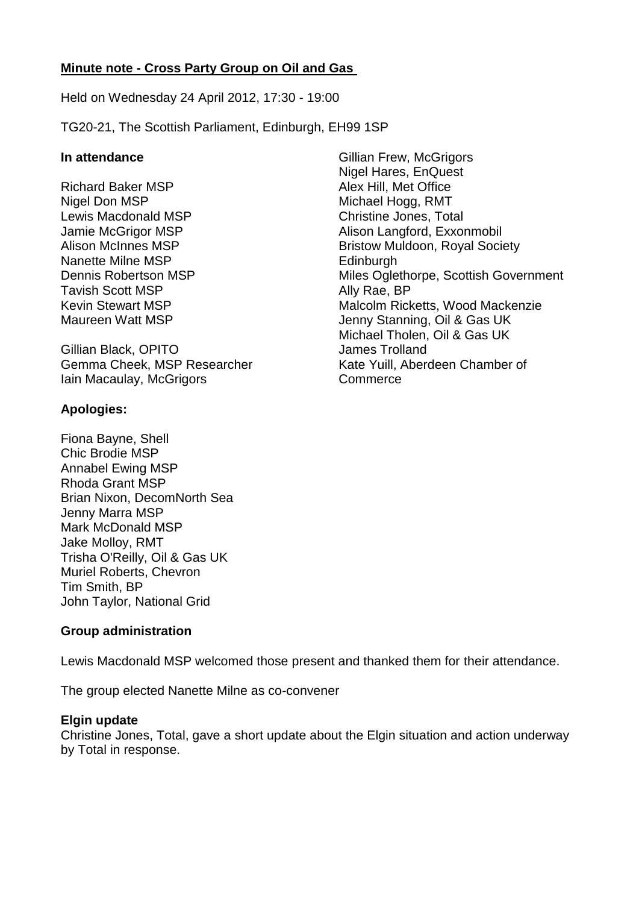## **Minute note - Cross Party Group on Oil and Gas**

Held on Wednesday 24 April 2012, 17:30 - 19:00

TG20-21, The Scottish Parliament, Edinburgh, EH99 1SP

## **In attendance**

Richard Baker MSP Nigel Don MSP Lewis Macdonald MSP Jamie McGrigor MSP Alison McInnes MSP Nanette Milne MSP Dennis Robertson MSP Tavish Scott MSP Kevin Stewart MSP Maureen Watt MSP

Gillian Black, OPITO Gemma Cheek, MSP Researcher Iain Macaulay, McGrigors

## **Apologies:**

Fiona Bayne, Shell Chic Brodie MSP Annabel Ewing MSP Rhoda Grant MSP Brian Nixon, DecomNorth Sea Jenny Marra MSP Mark McDonald MSP Jake Molloy, RMT Trisha O'Reilly, Oil & Gas UK Muriel Roberts, Chevron Tim Smith, BP John Taylor, National Grid

## **Group administration**

Lewis Macdonald MSP welcomed those present and thanked them for their attendance.

The group elected Nanette Milne as co-convener

## **Elgin update**

Christine Jones, Total, gave a short update about the Elgin situation and action underway by Total in response.

Gillian Frew, McGrigors Nigel Hares, EnQuest Alex Hill, Met Office Michael Hogg, RMT Christine Jones, Total Alison Langford, Exxonmobil Bristow Muldoon, Royal Society Edinburgh Miles Oglethorpe, Scottish Government Ally Rae, BP Malcolm Ricketts, Wood Mackenzie Jenny Stanning, Oil & Gas UK Michael Tholen, Oil & Gas UK James Trolland Kate Yuill, Aberdeen Chamber of **Commerce**